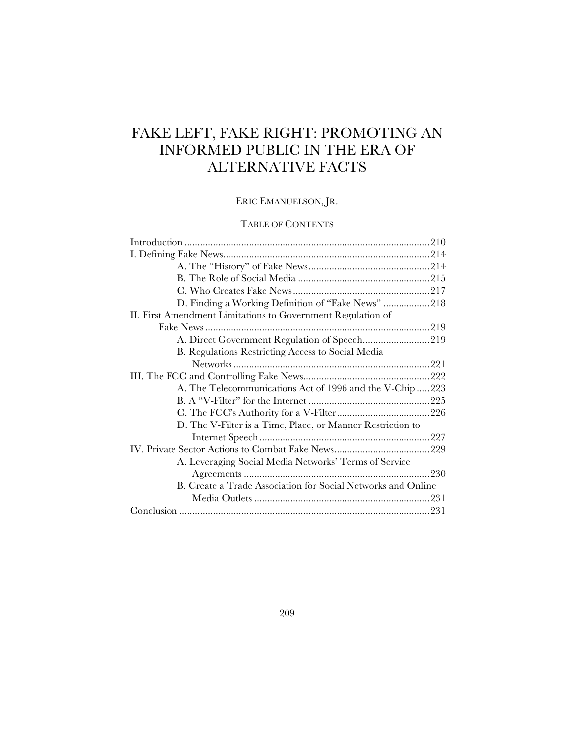# FAKE LEFT, FAKE RIGHT: PROMOTING AN INFORMED PUBLIC IN THE ERA OF ALTERNATIVE FACTS

# ERIC EMANUELSON, JR.

# TABLE OF CONTENTS

| D. Finding a Working Definition of "Fake News" 218           |  |
|--------------------------------------------------------------|--|
| II. First Amendment Limitations to Government Regulation of  |  |
|                                                              |  |
| A. Direct Government Regulation of Speech219                 |  |
| B. Regulations Restricting Access to Social Media            |  |
|                                                              |  |
|                                                              |  |
| A. The Telecommunications Act of 1996 and the V-Chip 223     |  |
|                                                              |  |
|                                                              |  |
| D. The V-Filter is a Time, Place, or Manner Restriction to   |  |
|                                                              |  |
|                                                              |  |
| A. Leveraging Social Media Networks' Terms of Service        |  |
|                                                              |  |
| B. Create a Trade Association for Social Networks and Online |  |
|                                                              |  |
|                                                              |  |
|                                                              |  |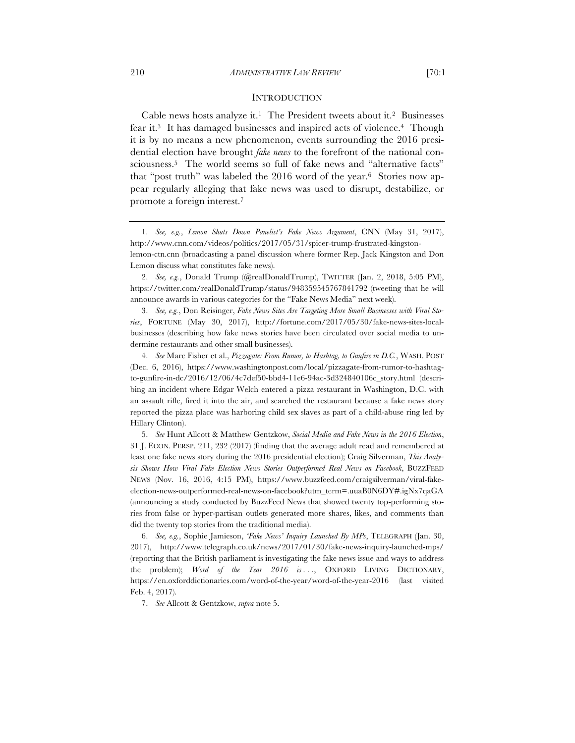Cable news hosts analyze it.<sup>1</sup> The President tweets about it.<sup>2</sup> Businesses fear it.3 It has damaged businesses and inspired acts of violence.4 Though it is by no means a new phenomenon, events surrounding the 2016 presidential election have brought *fake news* to the forefront of the national consciousness.5 The world seems so full of fake news and "alternative facts" that "post truth" was labeled the 2016 word of the year.6 Stories now appear regularly alleging that fake news was used to disrupt, destabilize, or promote a foreign interest.7

7. *See* Allcott & Gentzkow, *supra* note 5.

<sup>1.</sup> *See, e.g.*, *Lemon Shuts Down Panelist's Fake News Argument*, CNN (May 31, 2017), http://www.cnn.com/videos/politics/2017/05/31/spicer-trump-frustrated-kingston-

lemon-ctn.cnn (broadcasting a panel discussion where former Rep. Jack Kingston and Don Lemon discuss what constitutes fake news).

<sup>2.</sup> *See, e.g.*, Donald Trump (@realDonaldTrump), TWITTER (Jan. 2, 2018, 5:05 PM), https://twitter.com/realDonaldTrump/status/948359545767841792 (tweeting that he will announce awards in various categories for the "Fake News Media" next week).

<sup>3.</sup> *See, e.g.*, Don Reisinger, *Fake News Sites Are Targeting More Small Businesses with Viral Stories*, FORTUNE (May 30, 2017), http://fortune.com/2017/05/30/fake-news-sites-localbusinesses (describing how fake news stories have been circulated over social media to undermine restaurants and other small businesses).

<sup>4.</sup> *See* Marc Fisher et al., *Pizzagate: From Rumor, to Hashtag, to Gunfire in D.C.*, WASH. POST (Dec. 6, 2016), https://www.washingtonpost.com/local/pizzagate-from-rumor-to-hashtagto-gunfire-in-dc/2016/12/06/4c7def50-bbd4-11e6-94ac-3d324840106c\_story.html (describing an incident where Edgar Welch entered a pizza restaurant in Washington, D.C. with an assault rifle, fired it into the air, and searched the restaurant because a fake news story reported the pizza place was harboring child sex slaves as part of a child-abuse ring led by Hillary Clinton).

<sup>5.</sup> *See* Hunt Allcott & Matthew Gentzkow, *Social Media and Fake News in the 2016 Election*, 31 J. ECON. PERSP. 211, 232 (2017) (finding that the average adult read and remembered at least one fake news story during the 2016 presidential election); Craig Silverman, *This Analysis Shows How Viral Fake Election News Stories Outperformed Real News on Facebook*, BUZZFEED NEWS (Nov. 16, 2016, 4:15 PM), https://www.buzzfeed.com/craigsilverman/viral-fakeelection-news-outperformed-real-news-on-facebook?utm\_term=.uuaB0N6DY#.igNx7qaGA (announcing a study conducted by BuzzFeed News that showed twenty top-performing stories from false or hyper-partisan outlets generated more shares, likes, and comments than did the twenty top stories from the traditional media).

<sup>6.</sup> *See, e.g.*, Sophie Jamieson, *'Fake News' Inquiry Launched By MPs*, TELEGRAPH (Jan. 30, 2017), http://www.telegraph.co.uk/news/2017/01/30/fake-news-inquiry-launched-mps/ (reporting that the British parliament is investigating the fake news issue and ways to address the problem); *Word of the Year 2016 is . . .*, OXFORD LIVING DICTIONARY, https://en.oxforddictionaries.com/word-of-the-year/word-of-the-year-2016 (last visited Feb. 4, 2017).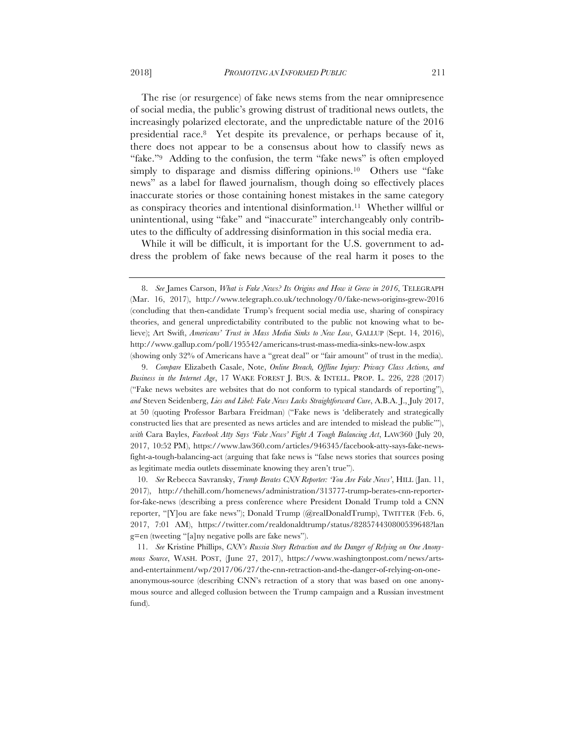The rise (or resurgence) of fake news stems from the near omnipresence of social media, the public's growing distrust of traditional news outlets, the increasingly polarized electorate, and the unpredictable nature of the 2016 presidential race.8 Yet despite its prevalence, or perhaps because of it, there does not appear to be a consensus about how to classify news as "fake."9 Adding to the confusion, the term "fake news" is often employed simply to disparage and dismiss differing opinions.<sup>10</sup> Others use "fake news" as a label for flawed journalism, though doing so effectively places inaccurate stories or those containing honest mistakes in the same category as conspiracy theories and intentional disinformation.11 Whether willful or unintentional, using "fake" and "inaccurate" interchangeably only contributes to the difficulty of addressing disinformation in this social media era.

While it will be difficult, it is important for the U.S. government to address the problem of fake news because of the real harm it poses to the

10. *See* Rebecca Savransky, *Trump Berates CNN Reporter: 'You Are Fake News'*, HILL (Jan. 11, 2017), http://thehill.com/homenews/administration/313777-trump-berates-cnn-reporterfor-fake-news (describing a press conference where President Donald Trump told a CNN reporter, "[Y]ou are fake news"); Donald Trump (@realDonaldTrump), TWITTER (Feb. 6, 2017, 7:01 AM), https://twitter.com/realdonaldtrump/status/828574430800539648?lan g=en (tweeting "[a]ny negative polls are fake news").

11. *See* Kristine Phillips, *CNN's Russia Story Retraction and the Danger of Relying on One Anonymous Source*, WASH. POST, (June 27, 2017), https://www.washingtonpost.com/news/artsand-entertainment/wp/2017/06/27/the-cnn-retraction-and-the-danger-of-relying-on-oneanonymous-source (describing CNN's retraction of a story that was based on one anonymous source and alleged collusion between the Trump campaign and a Russian investment fund).

<sup>8.</sup> *See* James Carson, *What is Fake News? Its Origins and How it Grew in 2016*, TELEGRAPH (Mar. 16, 2017), http://www.telegraph.co.uk/technology/0/fake-news-origins-grew-2016 (concluding that then-candidate Trump's frequent social media use, sharing of conspiracy theories, and general unpredictability contributed to the public not knowing what to believe); Art Swift, *Americans' Trust in Mass Media Sinks to New Low*, GALLUP (Sept. 14, 2016), http://www.gallup.com/poll/195542/americans-trust-mass-media-sinks-new-low.aspx (showing only 32% of Americans have a "great deal" or "fair amount" of trust in the media).

<sup>9.</sup> *Compare* Elizabeth Casale, Note, *Online Breach, Offline Injury: Privacy Class Actions, and Business in the Internet Age*, 17 WAKE FOREST J. BUS. & INTELL. PROP. L. 226, 228 (2017) ("Fake news websites are websites that do not conform to typical standards of reporting"), *and* Steven Seidenberg, *Lies and Libel: Fake News Lacks Straightforward Cure*, A.B.A. J., July 2017, at 50 (quoting Professor Barbara Freidman) ("Fake news is 'deliberately and strategically constructed lies that are presented as news articles and are intended to mislead the public'"), *with* Cara Bayles, *Facebook Atty Says 'Fake News' Fight A Tough Balancing Act*, LAW360 (July 20, 2017, 10:52 PM), https://www.law360.com/articles/946345/facebook-atty-says-fake-newsfight-a-tough-balancing-act (arguing that fake news is "false news stories that sources posing as legitimate media outlets disseminate knowing they aren't true").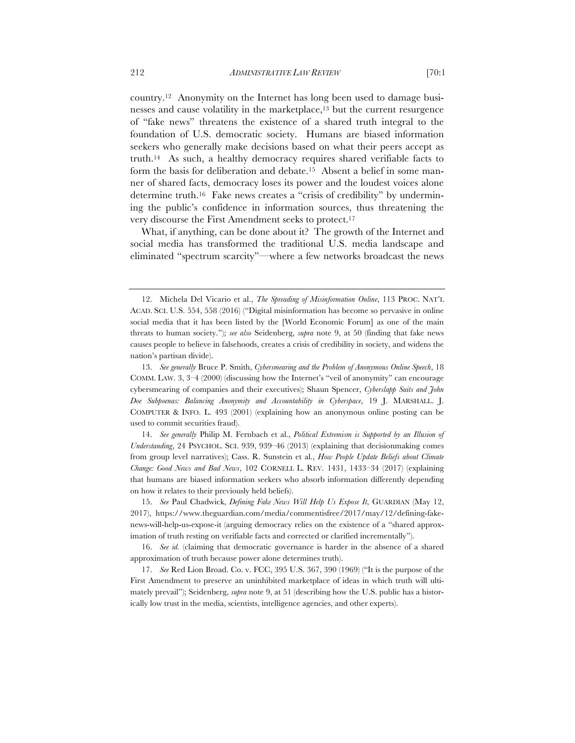country.12 Anonymity on the Internet has long been used to damage businesses and cause volatility in the marketplace,13 but the current resurgence of "fake news" threatens the existence of a shared truth integral to the foundation of U.S. democratic society. Humans are biased information seekers who generally make decisions based on what their peers accept as truth.14 As such, a healthy democracy requires shared verifiable facts to form the basis for deliberation and debate.15 Absent a belief in some manner of shared facts, democracy loses its power and the loudest voices alone determine truth.16 Fake news creates a "crisis of credibility" by undermining the public's confidence in information sources, thus threatening the very discourse the First Amendment seeks to protect.17

What, if anything, can be done about it? The growth of the Internet and social media has transformed the traditional U.S. media landscape and eliminated "spectrum scarcity"—where a few networks broadcast the news

14. *See generally* Philip M. Fernbach et al., *Political Extremism is Supported by an Illusion of Understanding*, 24 PSYCHOL. SCI. 939, 939–46 (2013) (explaining that decisionmaking comes from group level narratives); Cass. R. Sunstein et al., *How People Update Beliefs about Climate Change: Good News and Bad News*, 102 CORNELL L. REV. 1431, 1433–34 (2017) (explaining that humans are biased information seekers who absorb information differently depending on how it relates to their previously held beliefs).

15. *See* Paul Chadwick, *Defining Fake News Will Help Us Expose It*, GUARDIAN (May 12, 2017), https://www.theguardian.com/media/commentisfree/2017/may/12/defining-fakenews-will-help-us-expose-it (arguing democracy relies on the existence of a "shared approximation of truth resting on verifiable facts and corrected or clarified incrementally").

16. *See id.* (claiming that democratic governance is harder in the absence of a shared approximation of truth because power alone determines truth).

17. *See* Red Lion Broad. Co. v. FCC, 395 U.S. 367, 390 (1969) ("It is the purpose of the First Amendment to preserve an uninhibited marketplace of ideas in which truth will ultimately prevail"); Seidenberg, *supra* note 9, at 51 (describing how the U.S. public has a historically low trust in the media, scientists, intelligence agencies, and other experts).

<sup>12.</sup> Michela Del Vicario et al., *The Spreading of Misinformation Online*, 113 PROC. NAT'L ACAD. SCI. U.S. 554, 558 (2016) ("Digital misinformation has become so pervasive in online social media that it has been listed by the [World Economic Forum] as one of the main threats to human society."); *see also* Seidenberg, *supra* note 9, at 50 (finding that fake news causes people to believe in falsehoods, creates a crisis of credibility in society, and widens the nation's partisan divide).

<sup>13.</sup> *See generally* Bruce P. Smith, *Cybersmearing and the Problem of Anonymous Online Speech*, 18 COMM. LAW. 3, 3–4 (2000) (discussing how the Internet's "veil of anonymity" can encourage cybersmearing of companies and their executives); Shaun Spencer, *Cyberslapp Suits and John Doe Subpoenas: Balancing Anonymity and Accountability in Cyberspace*, 19 J. MARSHALL. J. COMPUTER & INFO. L. 493 (2001) (explaining how an anonymous online posting can be used to commit securities fraud).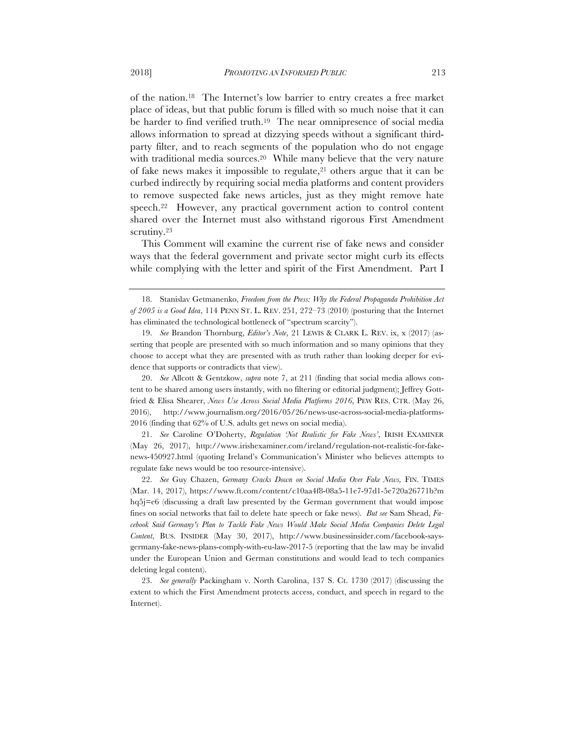of the nation.18 The Internet's low barrier to entry creates a free market place of ideas, but that public forum is filled with so much noise that it can be harder to find verified truth.19 The near omnipresence of social media allows information to spread at dizzying speeds without a significant thirdparty filter, and to reach segments of the population who do not engage with traditional media sources.<sup>20</sup> While many believe that the very nature of fake news makes it impossible to regulate, $21$  others argue that it can be curbed indirectly by requiring social media platforms and content providers to remove suspected fake news articles, just as they might remove hate speech.22 However, any practical government action to control content shared over the Internet must also withstand rigorous First Amendment scrutiny.<sup>23</sup>

This Comment will examine the current rise of fake news and consider ways that the federal government and private sector might curb its effects while complying with the letter and spirit of the First Amendment. Part I

21. *See* Caroline O'Doherty, *Regulation 'Not Realistic for Fake News'*, IRISH EXAMINER (May 26, 2017), http://www.irishexaminer.com/ireland/regulation-not-realistic-for-fakenews-450927.html (quoting Ireland's Communication's Minister who believes attempts to regulate fake news would be too resource-intensive).

22. *See* Guy Chazen, *Germany Cracks Down on Social Media Over Fake News,* FIN. TIMES (Mar. 14, 2017), https://www.ft.com/content/c10aa4f8-08a5-11e7-97d1-5e720a26771b?m hq5j=e6 (discussing a draft law presented by the German government that would impose fines on social networks that fail to delete hate speech or fake news). *But see* Sam Shead, *Facebook Said Germany's Plan to Tackle Fake News Would Make Social Media Companies Delete Legal Content*, BUS. INSIDER (May 30, 2017), http://www.businessinsider.com/facebook-saysgermany-fake-news-plans-comply-with-eu-law-2017-5 (reporting that the law may be invalid under the European Union and German constitutions and would lead to tech companies deleting legal content).

23. *See generally* Packingham v. North Carolina, 137 S. Ct. 1730 (2017) (discussing the extent to which the First Amendment protects access, conduct, and speech in regard to the Internet).

<sup>18.</sup> Stanislav Getmanenko, *Freedom from the Press: Why the Federal Propaganda Prohibition Act of 2005 is a Good Idea*, 114 PENN ST. L. REV. 251, 272–73 (2010) (posturing that the Internet has eliminated the technological bottleneck of "spectrum scarcity").

<sup>19.</sup> *See* Brandon Thornburg, *Editor's Note*, 21 LEWIS & CLARK L. REV. ix, x (2017) (asserting that people are presented with so much information and so many opinions that they choose to accept what they are presented with as truth rather than looking deeper for evidence that supports or contradicts that view).

<sup>20.</sup> *See* Allcott & Gentzkow, *supra* note 7, at 211 (finding that social media allows content to be shared among users instantly, with no filtering or editorial judgment); Jeffrey Gottfried & Elisa Shearer, *News Use Across Social Media Platforms 2016*, PEW RES. CTR. (May 26, 2016), http://www.journalism.org/2016/05/26/news-use-across-social-media-platforms-2016 (finding that 62% of U.S. adults get news on social media).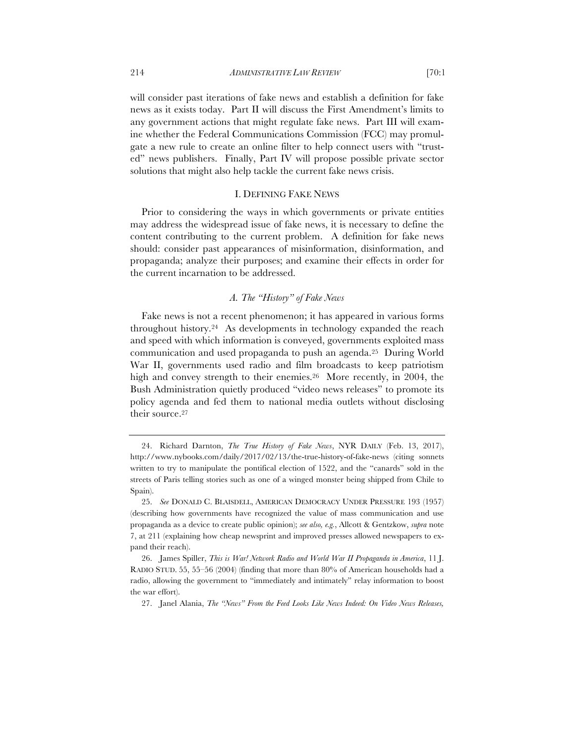will consider past iterations of fake news and establish a definition for fake news as it exists today. Part II will discuss the First Amendment's limits to any government actions that might regulate fake news. Part III will examine whether the Federal Communications Commission (FCC) may promulgate a new rule to create an online filter to help connect users with "trusted" news publishers. Finally, Part IV will propose possible private sector

#### I. DEFINING FAKE NEWS

solutions that might also help tackle the current fake news crisis.

Prior to considering the ways in which governments or private entities may address the widespread issue of fake news, it is necessary to define the content contributing to the current problem. A definition for fake news should: consider past appearances of misinformation, disinformation, and propaganda; analyze their purposes; and examine their effects in order for the current incarnation to be addressed.

## *A. The "History" of Fake News*

Fake news is not a recent phenomenon; it has appeared in various forms throughout history.24 As developments in technology expanded the reach and speed with which information is conveyed, governments exploited mass communication and used propaganda to push an agenda.25 During World War II, governments used radio and film broadcasts to keep patriotism high and convey strength to their enemies.<sup>26</sup> More recently, in 2004, the Bush Administration quietly produced "video news releases" to promote its policy agenda and fed them to national media outlets without disclosing their source.27

27. Janel Alania, *The "News" From the Feed Looks Like News Indeed: On Video News Releases,* 

<sup>24.</sup> Richard Darnton, *The True History of Fake News*, NYR DAILY (Feb. 13, 2017), http://www.nybooks.com/daily/2017/02/13/the-true-history-of-fake-news (citing sonnets written to try to manipulate the pontifical election of 1522, and the "canards" sold in the streets of Paris telling stories such as one of a winged monster being shipped from Chile to Spain).

<sup>25.</sup> *See* DONALD C. BLAISDELL, AMERICAN DEMOCRACY UNDER PRESSURE 193 (1957) (describing how governments have recognized the value of mass communication and use propaganda as a device to create public opinion); *see also, e.g.*, Allcott & Gentzkow, *supra* note 7, at 211 (explaining how cheap newsprint and improved presses allowed newspapers to expand their reach).

<sup>26.</sup> James Spiller, *This is War! Network Radio and World War II Propaganda in America*, 11 J. RADIO STUD. 55, 55–56 (2004) (finding that more than 80% of American households had a radio, allowing the government to "immediately and intimately" relay information to boost the war effort).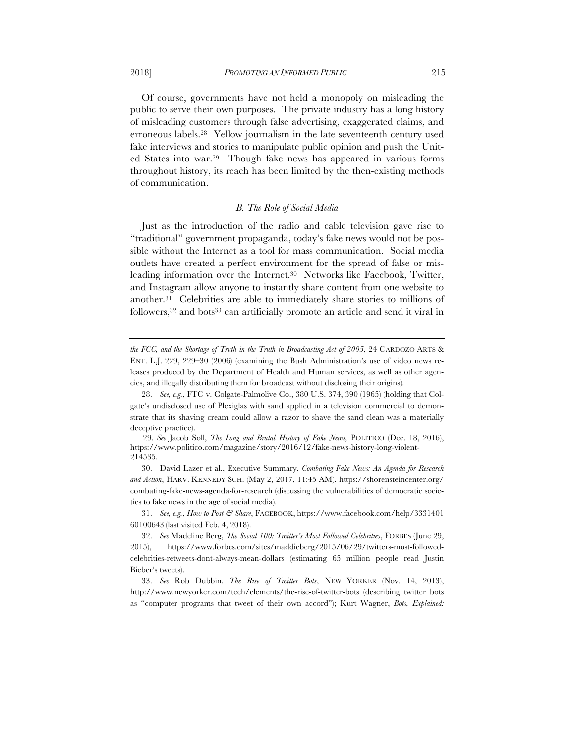Of course, governments have not held a monopoly on misleading the public to serve their own purposes. The private industry has a long history of misleading customers through false advertising, exaggerated claims, and erroneous labels.28 Yellow journalism in the late seventeenth century used fake interviews and stories to manipulate public opinion and push the United States into war.29 Though fake news has appeared in various forms throughout history, its reach has been limited by the then-existing methods of communication.

#### *B. The Role of Social Media*

Just as the introduction of the radio and cable television gave rise to "traditional" government propaganda, today's fake news would not be possible without the Internet as a tool for mass communication. Social media outlets have created a perfect environment for the spread of false or misleading information over the Internet.<sup>30</sup> Networks like Facebook, Twitter, and Instagram allow anyone to instantly share content from one website to another.31 Celebrities are able to immediately share stories to millions of followers,<sup>32</sup> and bots<sup>33</sup> can artificially promote an article and send it viral in

*the FCC, and the Shortage of Truth in the Truth in Broadcasting Act of 2005*, 24 CARDOZO ARTS & ENT. L.J. 229, 229–30 (2006) (examining the Bush Administration's use of video news releases produced by the Department of Health and Human services, as well as other agencies, and illegally distributing them for broadcast without disclosing their origins).

<sup>28.</sup> *See, e.g.*, FTC v. Colgate-Palmolive Co., 380 U.S. 374, 390 (1965) (holding that Colgate's undisclosed use of Plexiglas with sand applied in a television commercial to demonstrate that its shaving cream could allow a razor to shave the sand clean was a materially deceptive practice).

<sup>29.</sup> *See* Jacob Soll, *The Long and Brutal History of Fake News,* POLITICO (Dec. 18, 2016), https://www.politico.com/magazine/story/2016/12/fake-news-history-long-violent-214535.

<sup>30.</sup> David Lazer et al., Executive Summary, *Combating Fake News: An Agenda for Research and Action*, HARV. KENNEDY SCH. (May 2, 2017, 11:45 AM), https://shorensteincenter.org/ combating-fake-news-agenda-for-research (discussing the vulnerabilities of democratic societies to fake news in the age of social media).

<sup>31.</sup> *See, e.g.*, *How to Post & Share*, FACEBOOK, https://www.facebook.com/help/3331401 60100643 (last visited Feb. 4, 2018).

<sup>32.</sup> *See* Madeline Berg, *The Social 100: Twitter's Most Followed Celebrities*, FORBES (June 29, 2015), https://www.forbes.com/sites/maddieberg/2015/06/29/twitters-most-followedcelebrities-retweets-dont-always-mean-dollars (estimating 65 million people read Justin Bieber's tweets).

<sup>33.</sup> *See* Rob Dubbin, *The Rise of Twitter Bots*, NEW YORKER (Nov. 14, 2013), http://www.newyorker.com/tech/elements/the-rise-of-twitter-bots (describing twitter bots as "computer programs that tweet of their own accord"); Kurt Wagner, *Bots, Explained:*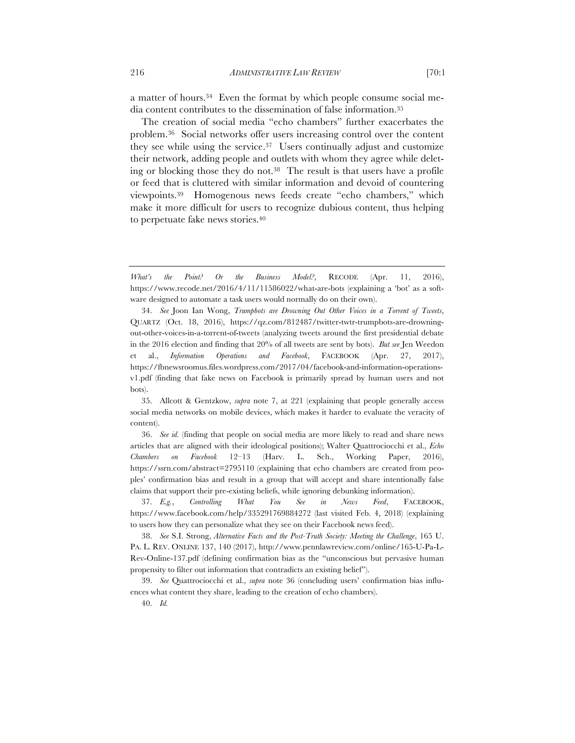a matter of hours.34 Even the format by which people consume social media content contributes to the dissemination of false information.35

The creation of social media "echo chambers" further exacerbates the problem.36 Social networks offer users increasing control over the content they see while using the service.37 Users continually adjust and customize their network, adding people and outlets with whom they agree while deleting or blocking those they do not.38 The result is that users have a profile or feed that is cluttered with similar information and devoid of countering viewpoints.39 Homogenous news feeds create "echo chambers," which make it more difficult for users to recognize dubious content, thus helping to perpetuate fake news stories.40

35. Allcott & Gentzkow, *supra* note 7, at 221 (explaining that people generally access social media networks on mobile devices, which makes it harder to evaluate the veracity of content).

36. *See id.* (finding that people on social media are more likely to read and share news articles that are aligned with their ideological positions); Walter Quattrociocchi et al., *Echo Chambers on Facebook* 12–13 (Harv. L. Sch., Working Paper, 2016), https://ssrn.com/abstract=2795110 (explaining that echo chambers are created from peoples' confirmation bias and result in a group that will accept and share intentionally false claims that support their pre-existing beliefs, while ignoring debunking information).

37. *E.g.*, *Controlling What You See in News Feed*, FACEBOOK, https://www.facebook.com/help/335291769884272 (last visited Feb. 4, 2018) (explaining to users how they can personalize what they see on their Facebook news feed).

38. *See* S.I. Strong, *Alternative Facts and the Post-Truth Society: Meeting the Challenge*, 165 U. PA. L. REV. ONLINE 137, 140 (2017), http://www.pennlawreview.com/online/165-U-Pa-L-Rev-Online-137.pdf (defining confirmation bias as the "unconscious but pervasive human propensity to filter out information that contradicts an existing belief").

39. *See* Quattrociocchi et al., *supra* note 36 (concluding users' confirmation bias influences what content they share, leading to the creation of echo chambers).

40. *Id.*

*What's the Point? Or the Business Model?*, RECODE (Apr. 11, 2016), https://www.recode.net/2016/4/11/11586022/what-are-bots (explaining a 'bot' as a software designed to automate a task users would normally do on their own).

<sup>34.</sup> *See* Joon Ian Wong, *Trumpbots are Drowning Out Other Voices in a Torrent of Tweets*, QUARTZ (Oct. 18, 2016), https://qz.com/812487/twitter-twtr-trumpbots-are-drowningout-other-voices-in-a-torrent-of-tweets (analyzing tweets around the first presidential debate in the 2016 election and finding that 20% of all tweets are sent by bots). *But see* Jen Weedon et al., *Information Operations and Facebook*, FACEBOOK (Apr. 27, 2017), https://fbnewsroomus.files.wordpress.com/2017/04/facebook-and-information-operationsv1.pdf (finding that fake news on Facebook is primarily spread by human users and not bots).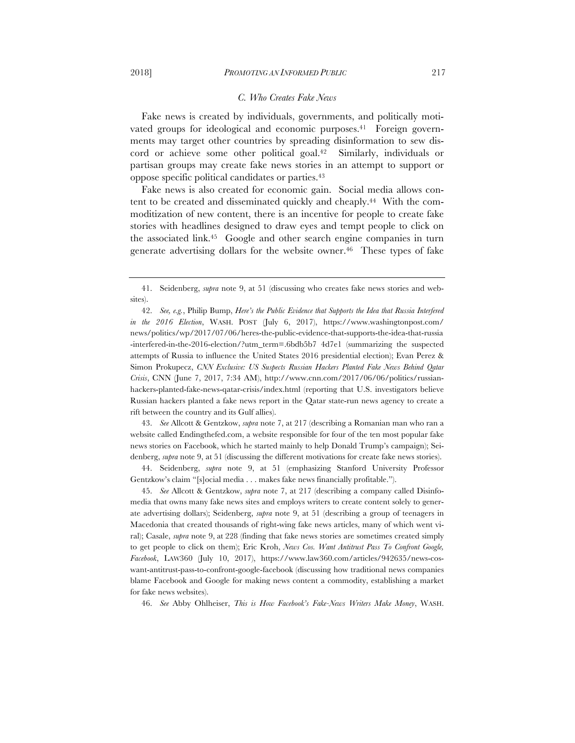#### *C. Who Creates Fake News*

Fake news is created by individuals, governments, and politically motivated groups for ideological and economic purposes.<sup>41</sup> Foreign governments may target other countries by spreading disinformation to sew discord or achieve some other political goal.42 Similarly, individuals or partisan groups may create fake news stories in an attempt to support or oppose specific political candidates or parties.43

Fake news is also created for economic gain. Social media allows content to be created and disseminated quickly and cheaply.44 With the commoditization of new content, there is an incentive for people to create fake stories with headlines designed to draw eyes and tempt people to click on the associated link.45 Google and other search engine companies in turn generate advertising dollars for the website owner.<sup>46</sup> These types of fake

42. *See, e.g.*, Philip Bump, *Here's the Public Evidence that Supports the Idea that Russia Interfered in the 2016 Election*, WASH. POST (July 6, 2017), https://www.washingtonpost.com/ news/politics/wp/2017/07/06/heres-the-public-evidence-that-supports-the-idea-that-russia -interfered-in-the-2016-election/?utm\_term=.6bdb5b7 4d7e1 (summarizing the suspected attempts of Russia to influence the United States 2016 presidential election); Evan Perez & Simon Prokupecz, *CNN Exclusive: US Suspects Russian Hackers Planted Fake News Behind Qatar Crisis*, CNN (June 7, 2017, 7:34 AM), http://www.cnn.com/2017/06/06/politics/russianhackers-planted-fake-news-qatar-crisis/index.html (reporting that U.S. investigators believe Russian hackers planted a fake news report in the Qatar state-run news agency to create a rift between the country and its Gulf allies).

43. *See* Allcott & Gentzkow, *supra* note 7, at 217 (describing a Romanian man who ran a website called Endingthefed.com, a website responsible for four of the ten most popular fake news stories on Facebook, which he started mainly to help Donald Trump's campaign); Seidenberg, *supra* note 9, at 51 (discussing the different motivations for create fake news stories).

44. Seidenberg, *supra* note 9, at 51 (emphasizing Stanford University Professor Gentzkow's claim "[s]ocial media . . . makes fake news financially profitable.").

45. *See* Allcott & Gentzkow, *supra* note 7, at 217 (describing a company called Disinfomedia that owns many fake news sites and employs writers to create content solely to generate advertising dollars); Seidenberg, *supra* note 9, at 51 (describing a group of teenagers in Macedonia that created thousands of right-wing fake news articles, many of which went viral); Casale, *supra* note 9, at 228 (finding that fake news stories are sometimes created simply to get people to click on them); Eric Kroh, *News Cos. Want Antitrust Pass To Confront Google, Facebook*, LAW360 (July 10, 2017), https://www.law360.com/articles/942635/news-coswant-antitrust-pass-to-confront-google-facebook (discussing how traditional news companies blame Facebook and Google for making news content a commodity, establishing a market for fake news websites).

46. *See* Abby Ohlheiser, *This is How Facebook's Fake-News Writers Make Money*, WASH.

<sup>41.</sup> Seidenberg, *supra* note 9, at 51 (discussing who creates fake news stories and websites).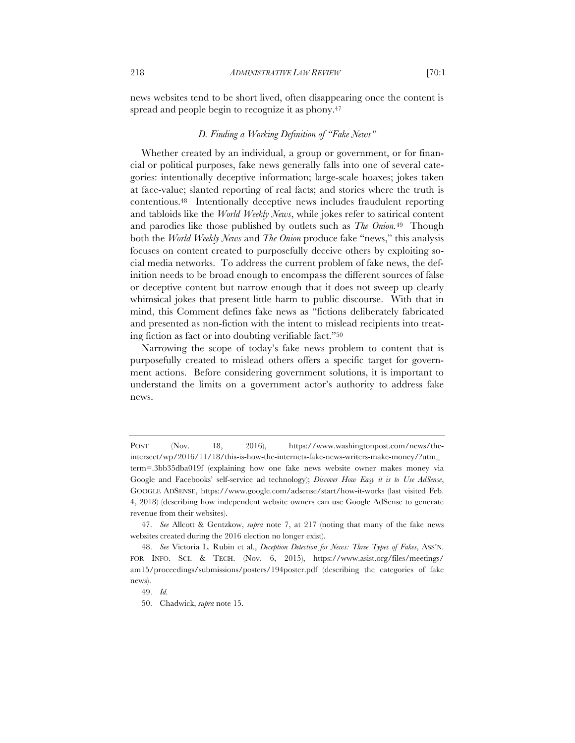news websites tend to be short lived, often disappearing once the content is spread and people begin to recognize it as phony.<sup>47</sup>

#### *D. Finding a Working Definition of "Fake News"*

Whether created by an individual, a group or government, or for financial or political purposes, fake news generally falls into one of several categories: intentionally deceptive information; large-scale hoaxes; jokes taken at face-value; slanted reporting of real facts; and stories where the truth is contentious.48 Intentionally deceptive news includes fraudulent reporting and tabloids like the *World Weekly News*, while jokes refer to satirical content and parodies like those published by outlets such as *The Onion.*49 Though both the *World Weekly News* and *The Onion* produce fake "news," this analysis focuses on content created to purposefully deceive others by exploiting social media networks. To address the current problem of fake news, the definition needs to be broad enough to encompass the different sources of false or deceptive content but narrow enough that it does not sweep up clearly whimsical jokes that present little harm to public discourse. With that in mind, this Comment defines fake news as "fictions deliberately fabricated and presented as non-fiction with the intent to mislead recipients into treating fiction as fact or into doubting verifiable fact."50

Narrowing the scope of today's fake news problem to content that is purposefully created to mislead others offers a specific target for government actions. Before considering government solutions, it is important to understand the limits on a government actor's authority to address fake news.

POST (Nov. 18, 2016), https://www.washingtonpost.com/news/theintersect/wp/2016/11/18/this-is-how-the-internets-fake-news-writers-make-money/?utm\_ term=.3bb35dba019f (explaining how one fake news website owner makes money via Google and Facebooks' self-service ad technology); *Discover How Easy it is to Use AdSense*, GOOGLE ADSENSE, https://www.google.com/adsense/start/how-it-works (last visited Feb. 4, 2018) (describing how independent website owners can use Google AdSense to generate revenue from their websites).

<sup>47.</sup> *See* Allcott & Gentzkow, *supra* note 7, at 217 (noting that many of the fake news websites created during the 2016 election no longer exist).

<sup>48.</sup> *See* Victoria L. Rubin et al., *Deception Detection for News: Three Types of Fakes*, ASS'N. FOR INFO. SCI. & TECH. (Nov. 6, 2015), https://www.asist.org/files/meetings/ am15/proceedings/submissions/posters/194poster.pdf (describing the categories of fake news).

<sup>49.</sup> *Id.*

<sup>50.</sup> Chadwick, *supra* note 15.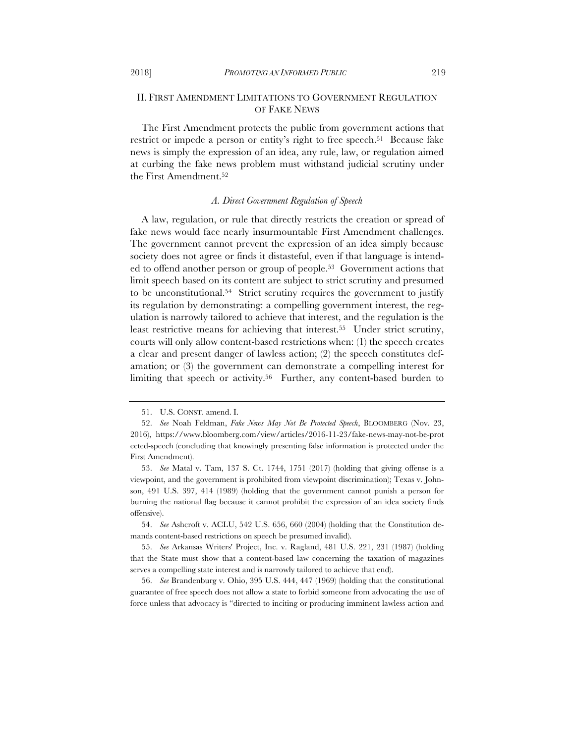# II. FIRST AMENDMENT LIMITATIONS TO GOVERNMENT REGULATION OF FAKE NEWS

The First Amendment protects the public from government actions that restrict or impede a person or entity's right to free speech.<sup>51</sup> Because fake news is simply the expression of an idea, any rule, law, or regulation aimed at curbing the fake news problem must withstand judicial scrutiny under the First Amendment.52

#### *A. Direct Government Regulation of Speech*

A law, regulation, or rule that directly restricts the creation or spread of fake news would face nearly insurmountable First Amendment challenges. The government cannot prevent the expression of an idea simply because society does not agree or finds it distasteful, even if that language is intended to offend another person or group of people.53 Government actions that limit speech based on its content are subject to strict scrutiny and presumed to be unconstitutional.54 Strict scrutiny requires the government to justify its regulation by demonstrating: a compelling government interest, the regulation is narrowly tailored to achieve that interest, and the regulation is the least restrictive means for achieving that interest.55 Under strict scrutiny, courts will only allow content-based restrictions when: (1) the speech creates a clear and present danger of lawless action; (2) the speech constitutes defamation; or (3) the government can demonstrate a compelling interest for limiting that speech or activity.<sup>56</sup> Further, any content-based burden to

<sup>51.</sup> U.S. CONST. amend. I.

<sup>52.</sup> *See* Noah Feldman, *Fake News May Not Be Protected Speech*, BLOOMBERG (Nov. 23, 2016), https://www.bloomberg.com/view/articles/2016-11-23/fake-news-may-not-be-prot ected-speech (concluding that knowingly presenting false information is protected under the First Amendment).

<sup>53.</sup> *See* Matal v. Tam, 137 S. Ct. 1744, 1751 (2017) (holding that giving offense is a viewpoint, and the government is prohibited from viewpoint discrimination); Texas v. Johnson, 491 U.S. 397, 414 (1989) (holding that the government cannot punish a person for burning the national flag because it cannot prohibit the expression of an idea society finds offensive).

<sup>54.</sup> *See* Ashcroft v. ACLU, 542 U.S. 656, 660 (2004) (holding that the Constitution demands content-based restrictions on speech be presumed invalid).

<sup>55.</sup> *See* Arkansas Writers' Project, Inc. v. Ragland, 481 U.S. 221, 231 (1987) (holding that the State must show that a content-based law concerning the taxation of magazines serves a compelling state interest and is narrowly tailored to achieve that end).

<sup>56.</sup> *See* Brandenburg v. Ohio, 395 U.S. 444, 447 (1969) (holding that the constitutional guarantee of free speech does not allow a state to forbid someone from advocating the use of force unless that advocacy is "directed to inciting or producing imminent lawless action and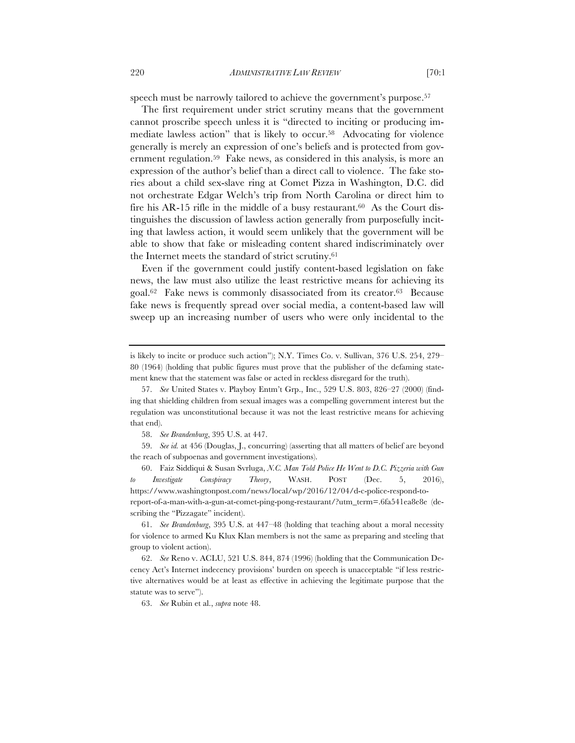speech must be narrowly tailored to achieve the government's purpose.<sup>57</sup>

The first requirement under strict scrutiny means that the government cannot proscribe speech unless it is "directed to inciting or producing immediate lawless action" that is likely to occur.58 Advocating for violence generally is merely an expression of one's beliefs and is protected from government regulation.59 Fake news, as considered in this analysis, is more an expression of the author's belief than a direct call to violence. The fake stories about a child sex-slave ring at Comet Pizza in Washington, D.C. did not orchestrate Edgar Welch's trip from North Carolina or direct him to fire his AR-15 rifle in the middle of a busy restaurant.<sup>60</sup> As the Court distinguishes the discussion of lawless action generally from purposefully inciting that lawless action, it would seem unlikely that the government will be able to show that fake or misleading content shared indiscriminately over the Internet meets the standard of strict scrutiny.61

Even if the government could justify content-based legislation on fake news, the law must also utilize the least restrictive means for achieving its goal.62 Fake news is commonly disassociated from its creator.63 Because fake news is frequently spread over social media, a content-based law will sweep up an increasing number of users who were only incidental to the

58. *See Brandenburg*, 395 U.S. at 447.

59. *See id.* at 456 (Douglas, J., concurring) (asserting that all matters of belief are beyond the reach of subpoenas and government investigations).

60. Faiz Siddiqui & Susan Svrluga, *N.C. Man Told Police He Went to D.C. Pizzeria with Gun to Investigate Conspiracy Theory*, WASH. POST (Dec. 5, 2016), https://www.washingtonpost.com/news/local/wp/2016/12/04/d-c-police-respond-toreport-of-a-man-with-a-gun-at-comet-ping-pong-restaurant/?utm\_term=.6fa541ea8e8e (describing the "Pizzagate" incident).

61. *See Brandenburg*, 395 U.S. at 447–48 (holding that teaching about a moral necessity for violence to armed Ku Klux Klan members is not the same as preparing and steeling that group to violent action).

62. *See* Reno v. ACLU, 521 U.S. 844, 874 (1996) (holding that the Communication Decency Act's Internet indecency provisions' burden on speech is unacceptable "if less restrictive alternatives would be at least as effective in achieving the legitimate purpose that the statute was to serve").

63. *See* Rubin et al., *supra* note 48.

is likely to incite or produce such action"); N.Y. Times Co. v. Sullivan, 376 U.S. 254, 279– 80 (1964) (holding that public figures must prove that the publisher of the defaming statement knew that the statement was false or acted in reckless disregard for the truth).

<sup>57.</sup> *See* United States v. Playboy Entm't Grp., Inc., 529 U.S. 803, 826–27 (2000) (finding that shielding children from sexual images was a compelling government interest but the regulation was unconstitutional because it was not the least restrictive means for achieving that end).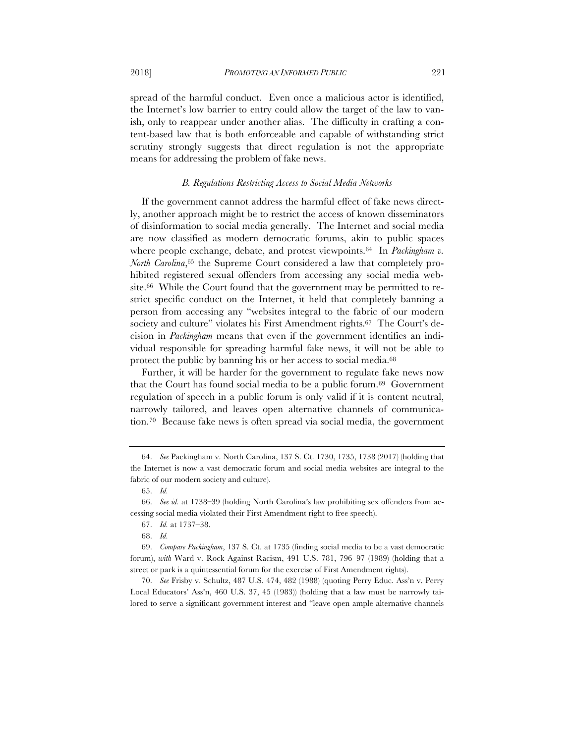spread of the harmful conduct. Even once a malicious actor is identified, the Internet's low barrier to entry could allow the target of the law to vanish, only to reappear under another alias. The difficulty in crafting a content-based law that is both enforceable and capable of withstanding strict scrutiny strongly suggests that direct regulation is not the appropriate means for addressing the problem of fake news.

#### *B. Regulations Restricting Access to Social Media Networks*

If the government cannot address the harmful effect of fake news directly, another approach might be to restrict the access of known disseminators of disinformation to social media generally. The Internet and social media are now classified as modern democratic forums, akin to public spaces where people exchange, debate, and protest viewpoints.<sup>64</sup> In *Packingham v. North Carolina*,<sup>65</sup> the Supreme Court considered a law that completely prohibited registered sexual offenders from accessing any social media website.66 While the Court found that the government may be permitted to restrict specific conduct on the Internet, it held that completely banning a person from accessing any "websites integral to the fabric of our modern society and culture" violates his First Amendment rights.<sup>67</sup> The Court's decision in *Packingham* means that even if the government identifies an individual responsible for spreading harmful fake news, it will not be able to protect the public by banning his or her access to social media.<sup>68</sup>

Further, it will be harder for the government to regulate fake news now that the Court has found social media to be a public forum.69 Government regulation of speech in a public forum is only valid if it is content neutral, narrowly tailored, and leaves open alternative channels of communication.70 Because fake news is often spread via social media, the government

<sup>64.</sup> *See* Packingham v. North Carolina, 137 S. Ct. 1730, 1735, 1738 (2017) (holding that the Internet is now a vast democratic forum and social media websites are integral to the fabric of our modern society and culture).

<sup>65.</sup> *Id.*

<sup>66.</sup> *See id.* at 1738–39 (holding North Carolina's law prohibiting sex offenders from accessing social media violated their First Amendment right to free speech).

<sup>67.</sup> *Id.* at 1737–38.

<sup>68.</sup> *Id.*

<sup>69.</sup> *Compare Packingham*, 137 S. Ct. at 1735 (finding social media to be a vast democratic forum), *with* Ward v. Rock Against Racism, 491 U.S. 781, 796–97 (1989) (holding that a street or park is a quintessential forum for the exercise of First Amendment rights).

<sup>70.</sup> *See* Frisby v. Schultz, 487 U.S. 474, 482 (1988) (quoting Perry Educ. Ass'n v. Perry Local Educators' Ass'n, 460 U.S. 37, 45 (1983)) (holding that a law must be narrowly tailored to serve a significant government interest and "leave open ample alternative channels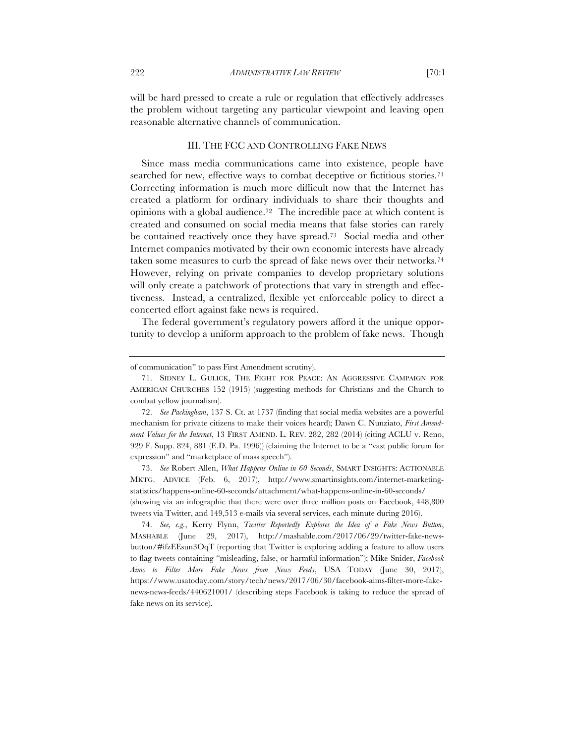will be hard pressed to create a rule or regulation that effectively addresses the problem without targeting any particular viewpoint and leaving open reasonable alternative channels of communication.

## III. THE FCC AND CONTROLLING FAKE NEWS

Since mass media communications came into existence, people have searched for new, effective ways to combat deceptive or fictitious stories.<sup>71</sup> Correcting information is much more difficult now that the Internet has created a platform for ordinary individuals to share their thoughts and opinions with a global audience.72 The incredible pace at which content is created and consumed on social media means that false stories can rarely be contained reactively once they have spread.73 Social media and other Internet companies motivated by their own economic interests have already taken some measures to curb the spread of fake news over their networks.74 However, relying on private companies to develop proprietary solutions will only create a patchwork of protections that vary in strength and effectiveness. Instead, a centralized, flexible yet enforceable policy to direct a concerted effort against fake news is required.

The federal government's regulatory powers afford it the unique opportunity to develop a uniform approach to the problem of fake news. Though

73. *See* Robert Allen, *What Happens Online in 60 Seconds*, SMART INSIGHTS: ACTIONABLE MKTG. ADVICE (Feb. 6, 2017), http://www.smartinsights.com/internet-marketingstatistics/happens-online-60-seconds/attachment/what-happens-online-in-60-seconds/ (showing via an infographic that there were over three million posts on Facebook, 448,800 tweets via Twitter, and 149,513 e-mails via several services, each minute during 2016).

74. *See, e.g.*, Kerry Flynn, *Twitter Reportedly Explores the Idea of a Fake News Button*, MASHABLE (June 29, 2017), http://mashable.com/2017/06/29/twitter-fake-newsbutton/#ifzEEsun3OqT (reporting that Twitter is exploring adding a feature to allow users to flag tweets containing "misleading, false, or harmful information"); Mike Snider, *Facebook Aims to Filter More Fake News from News Feeds*, USA TODAY (June 30, 2017), https://www.usatoday.com/story/tech/news/2017/06/30/facebook-aims-filter-more-fakenews-news-feeds/440621001/ (describing steps Facebook is taking to reduce the spread of fake news on its service).

of communication" to pass First Amendment scrutiny).

<sup>71.</sup> SIDNEY L. GULICK, THE FIGHT FOR PEACE: AN AGGRESSIVE CAMPAIGN FOR AMERICAN CHURCHES 152 (1915) (suggesting methods for Christians and the Church to combat yellow journalism).

<sup>72.</sup> *See Packingham*, 137 S. Ct. at 1737 (finding that social media websites are a powerful mechanism for private citizens to make their voices heard); Dawn C. Nunziato, *First Amendment Values for the Internet*, 13 FIRST AMEND. L. REV. 282, 282 (2014) (citing ACLU v. Reno, 929 F. Supp. 824, 881 (E.D. Pa. 1996)) (claiming the Internet to be a "vast public forum for expression" and "marketplace of mass speech").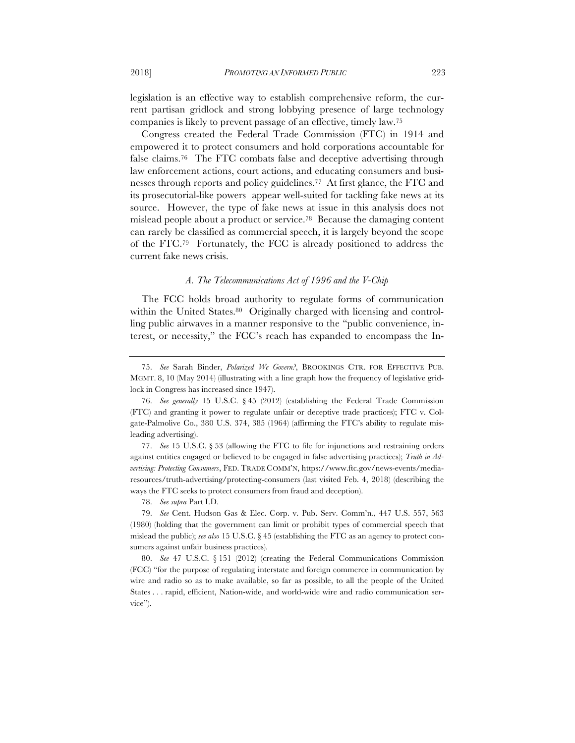legislation is an effective way to establish comprehensive reform, the current partisan gridlock and strong lobbying presence of large technology companies is likely to prevent passage of an effective, timely law.75

Congress created the Federal Trade Commission (FTC) in 1914 and empowered it to protect consumers and hold corporations accountable for false claims.76 The FTC combats false and deceptive advertising through law enforcement actions, court actions, and educating consumers and businesses through reports and policy guidelines.77 At first glance, the FTC and its prosecutorial-like powers appear well-suited for tackling fake news at its source. However, the type of fake news at issue in this analysis does not mislead people about a product or service.78 Because the damaging content can rarely be classified as commercial speech, it is largely beyond the scope of the FTC.79 Fortunately, the FCC is already positioned to address the current fake news crisis.

#### *A. The Telecommunications Act of 1996 and the V-Chip*

The FCC holds broad authority to regulate forms of communication within the United States.<sup>80</sup> Originally charged with licensing and controlling public airwaves in a manner responsive to the "public convenience, interest, or necessity," the FCC's reach has expanded to encompass the In-

77. *See* 15 U.S.C. § 53 (allowing the FTC to file for injunctions and restraining orders against entities engaged or believed to be engaged in false advertising practices); *Truth in Advertising: Protecting Consumers*, FED. TRADE COMM'N, https://www.ftc.gov/news-events/mediaresources/truth-advertising/protecting-consumers (last visited Feb. 4, 2018) (describing the ways the FTC seeks to protect consumers from fraud and deception).

78. *See supra* Part I.D.

79. *See* Cent. Hudson Gas & Elec. Corp. v. Pub. Serv. Comm'n*.*, 447 U.S. 557, 563 (1980) (holding that the government can limit or prohibit types of commercial speech that mislead the public); *see also* 15 U.S.C. § 45 (establishing the FTC as an agency to protect consumers against unfair business practices).

80. *See* 47 U.S.C. § 151 (2012) (creating the Federal Communications Commission (FCC) "for the purpose of regulating interstate and foreign commerce in communication by wire and radio so as to make available, so far as possible, to all the people of the United States . . . rapid, efficient, Nation-wide, and world-wide wire and radio communication service").

<sup>75.</sup> *See* Sarah Binder, *Polarized We Govern?*, BROOKINGS CTR. FOR EFFECTIVE PUB. MGMT. 8, 10 (May 2014) (illustrating with a line graph how the frequency of legislative gridlock in Congress has increased since 1947).

<sup>76.</sup> *See generally* 15 U.S.C. § 45 (2012) (establishing the Federal Trade Commission (FTC) and granting it power to regulate unfair or deceptive trade practices); FTC v. Colgate-Palmolive Co., 380 U.S. 374, 385 (1964) (affirming the FTC's ability to regulate misleading advertising).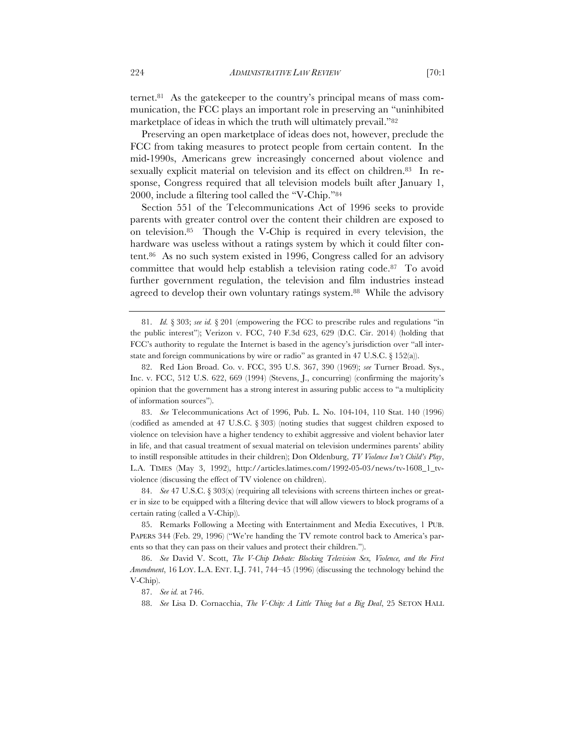ternet.81 As the gatekeeper to the country's principal means of mass communication, the FCC plays an important role in preserving an "uninhibited marketplace of ideas in which the truth will ultimately prevail."82

Preserving an open marketplace of ideas does not, however, preclude the FCC from taking measures to protect people from certain content. In the mid-1990s, Americans grew increasingly concerned about violence and sexually explicit material on television and its effect on children.<sup>83</sup> In response, Congress required that all television models built after January 1, 2000, include a filtering tool called the "V-Chip."84

Section 551 of the Telecommunications Act of 1996 seeks to provide parents with greater control over the content their children are exposed to on television.85 Though the V-Chip is required in every television, the hardware was useless without a ratings system by which it could filter content.86 As no such system existed in 1996, Congress called for an advisory committee that would help establish a television rating code.87 To avoid further government regulation, the television and film industries instead agreed to develop their own voluntary ratings system.<sup>88</sup> While the advisory

83. *See* Telecommunications Act of 1996, Pub. L. No. 104-104, 110 Stat. 140 (1996) (codified as amended at 47 U.S.C. § 303) (noting studies that suggest children exposed to violence on television have a higher tendency to exhibit aggressive and violent behavior later in life, and that casual treatment of sexual material on television undermines parents' ability to instill responsible attitudes in their children); Don Oldenburg, *TV Violence Isn't Child's Play*, L.A. TIMES (May 3, 1992), http://articles.latimes.com/1992-05-03/news/tv-1608\_1\_tvviolence (discussing the effect of TV violence on children).

84. *See* 47 U.S.C. § 303(x) (requiring all televisions with screens thirteen inches or greater in size to be equipped with a filtering device that will allow viewers to block programs of a certain rating (called a V-Chip)).

85. Remarks Following a Meeting with Entertainment and Media Executives, 1 PUB. PAPERS 344 (Feb. 29, 1996) ("We're handing the TV remote control back to America's parents so that they can pass on their values and protect their children.").

86. *See* David V. Scott, *The V-Chip Debate: Blocking Television Sex, Violence, and the First Amendment*, 16 LOY. L.A. ENT. L.J. 741, 744–45 (1996) (discussing the technology behind the V-Chip).

87. *See id.* at 746.

88. *See* Lisa D. Cornacchia, *The V-Chip: A Little Thing but a Big Deal*, 25 SETON HALL

<sup>81.</sup> *Id.* § 303; *see id.* § 201 (empowering the FCC to prescribe rules and regulations "in the public interest"); Verizon v. FCC, 740 F.3d 623, 629 (D.C. Cir. 2014) (holding that FCC's authority to regulate the Internet is based in the agency's jurisdiction over "all interstate and foreign communications by wire or radio" as granted in 47 U.S.C. § 152(a)).

<sup>82.</sup> Red Lion Broad. Co. v. FCC, 395 U.S. 367, 390 (1969); *see* Turner Broad. Sys., Inc. v. FCC, 512 U.S. 622, 669 (1994) (Stevens, J., concurring) (confirming the majority's opinion that the government has a strong interest in assuring public access to "a multiplicity of information sources").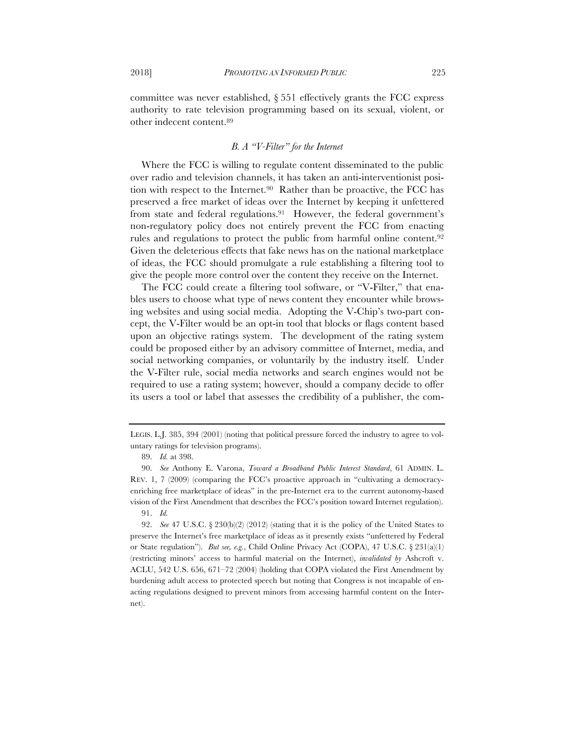committee was never established, § 551 effectively grants the FCC express authority to rate television programming based on its sexual, violent, or other indecent content.89

# *B. A "V-Filter" for the Internet*

Where the FCC is willing to regulate content disseminated to the public over radio and television channels, it has taken an anti-interventionist position with respect to the Internet.90 Rather than be proactive, the FCC has preserved a free market of ideas over the Internet by keeping it unfettered from state and federal regulations.91 However, the federal government's non-regulatory policy does not entirely prevent the FCC from enacting rules and regulations to protect the public from harmful online content.<sup>92</sup> Given the deleterious effects that fake news has on the national marketplace of ideas, the FCC should promulgate a rule establishing a filtering tool to give the people more control over the content they receive on the Internet.

The FCC could create a filtering tool software, or "V-Filter," that enables users to choose what type of news content they encounter while browsing websites and using social media. Adopting the V-Chip's two-part concept, the V-Filter would be an opt-in tool that blocks or flags content based upon an objective ratings system. The development of the rating system could be proposed either by an advisory committee of Internet, media, and social networking companies, or voluntarily by the industry itself. Under the V-Filter rule, social media networks and search engines would not be required to use a rating system; however, should a company decide to offer its users a tool or label that assesses the credibility of a publisher, the com-

LEGIS. L.J. 385, 394 (2001) (noting that political pressure forced the industry to agree to voluntary ratings for television programs).

<sup>89.</sup> *Id.* at 398.

<sup>90.</sup> *See* Anthony E. Varona, *Toward a Broadband Public Interest Standard*, 61 ADMIN. L. REV. 1, 7 (2009) (comparing the FCC's proactive approach in "cultivating a democracyenriching free marketplace of ideas" in the pre-Internet era to the current autonomy-based vision of the First Amendment that describes the FCC's position toward Internet regulation). 91. *Id.*

<sup>92.</sup> *See* 47 U.S.C. § 230(b)(2) (2012) (stating that it is the policy of the United States to preserve the Internet's free marketplace of ideas as it presently exists "unfettered by Federal or State regulation"). *But see, e.g.*, Child Online Privacy Act (COPA), 47 U.S.C. § 231(a)(1) (restricting minors' access to harmful material on the Internet), *invalidated by* Ashcroft v. ACLU, 542 U.S. 656, 671–72 (2004) (holding that COPA violated the First Amendment by burdening adult access to protected speech but noting that Congress is not incapable of enacting regulations designed to prevent minors from accessing harmful content on the Internet).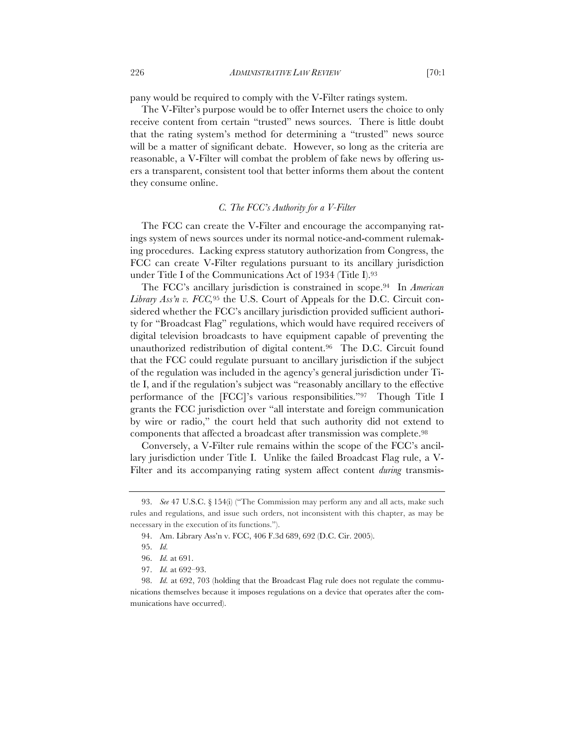pany would be required to comply with the V-Filter ratings system.

The V-Filter's purpose would be to offer Internet users the choice to only receive content from certain "trusted" news sources. There is little doubt that the rating system's method for determining a "trusted" news source will be a matter of significant debate. However, so long as the criteria are reasonable, a V-Filter will combat the problem of fake news by offering users a transparent, consistent tool that better informs them about the content they consume online.

## *C. The FCC's Authority for a V-Filter*

The FCC can create the V-Filter and encourage the accompanying ratings system of news sources under its normal notice-and-comment rulemaking procedures. Lacking express statutory authorization from Congress, the FCC can create V-Filter regulations pursuant to its ancillary jurisdiction under Title I of the Communications Act of 1934 (Title I).93

The FCC's ancillary jurisdiction is constrained in scope.94 In *American Library Ass'n v. FCC,*<sup>95</sup> the U.S. Court of Appeals for the D.C. Circuit considered whether the FCC's ancillary jurisdiction provided sufficient authority for "Broadcast Flag" regulations, which would have required receivers of digital television broadcasts to have equipment capable of preventing the unauthorized redistribution of digital content.96 The D.C. Circuit found that the FCC could regulate pursuant to ancillary jurisdiction if the subject of the regulation was included in the agency's general jurisdiction under Title I, and if the regulation's subject was "reasonably ancillary to the effective performance of the [FCC]'s various responsibilities."97 Though Title I grants the FCC jurisdiction over "all interstate and foreign communication by wire or radio," the court held that such authority did not extend to components that affected a broadcast after transmission was complete.98

Conversely, a V-Filter rule remains within the scope of the FCC's ancillary jurisdiction under Title I. Unlike the failed Broadcast Flag rule, a V-Filter and its accompanying rating system affect content *during* transmis-

<sup>93.</sup> *See* 47 U.S.C. § 154(i) ("The Commission may perform any and all acts, make such rules and regulations, and issue such orders, not inconsistent with this chapter, as may be necessary in the execution of its functions.").

<sup>94.</sup> Am. Library Ass'n v. FCC, 406 F.3d 689, 692 (D.C. Cir. 2005).

<sup>95.</sup> *Id.*

<sup>96.</sup> *Id.* at 691.

<sup>97.</sup> *Id.* at 692–93.

<sup>98.</sup> *Id.* at 692, 703 (holding that the Broadcast Flag rule does not regulate the communications themselves because it imposes regulations on a device that operates after the communications have occurred).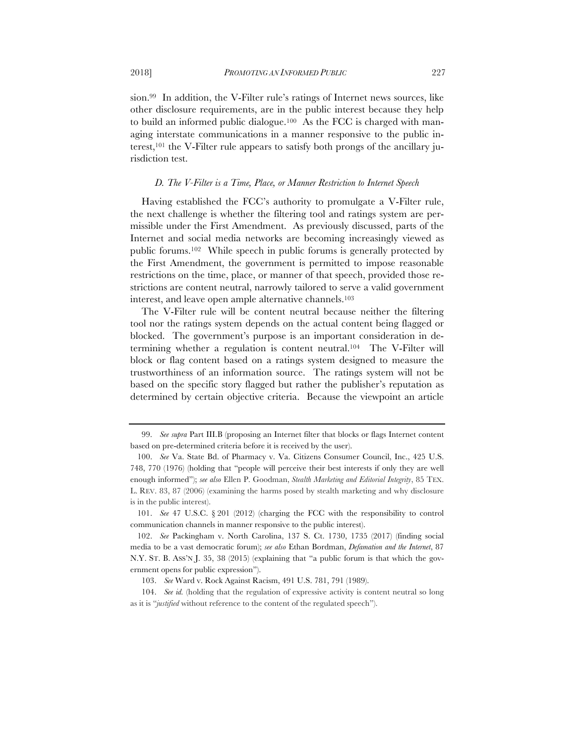sion.99 In addition, the V-Filter rule's ratings of Internet news sources, like

other disclosure requirements, are in the public interest because they help to build an informed public dialogue.100 As the FCC is charged with managing interstate communications in a manner responsive to the public interest,101 the V-Filter rule appears to satisfy both prongs of the ancillary jurisdiction test.

#### *D. The V-Filter is a Time, Place, or Manner Restriction to Internet Speech*

Having established the FCC's authority to promulgate a V-Filter rule, the next challenge is whether the filtering tool and ratings system are permissible under the First Amendment. As previously discussed, parts of the Internet and social media networks are becoming increasingly viewed as public forums.102 While speech in public forums is generally protected by the First Amendment, the government is permitted to impose reasonable restrictions on the time, place, or manner of that speech, provided those restrictions are content neutral, narrowly tailored to serve a valid government interest, and leave open ample alternative channels.103

The V-Filter rule will be content neutral because neither the filtering tool nor the ratings system depends on the actual content being flagged or blocked. The government's purpose is an important consideration in determining whether a regulation is content neutral.104 The V-Filter will block or flag content based on a ratings system designed to measure the trustworthiness of an information source. The ratings system will not be based on the specific story flagged but rather the publisher's reputation as determined by certain objective criteria. Because the viewpoint an article

<sup>99.</sup> *See supra* Part III.B (proposing an Internet filter that blocks or flags Internet content based on pre-determined criteria before it is received by the user).

<sup>100.</sup> *See* Va. State Bd. of Pharmacy v. Va. Citizens Consumer Council, Inc., 425 U.S. 748, 770 (1976) (holding that "people will perceive their best interests if only they are well enough informed"); *see also* Ellen P. Goodman, *Stealth Marketing and Editorial Integrity*, 85 TEX. L. REV. 83, 87 (2006) (examining the harms posed by stealth marketing and why disclosure is in the public interest).

<sup>101.</sup> *See* 47 U.S.C. § 201 (2012) (charging the FCC with the responsibility to control communication channels in manner responsive to the public interest).

<sup>102.</sup> *See* Packingham v. North Carolina, 137 S. Ct. 1730, 1735 (2017) (finding social media to be a vast democratic forum); *see also* Ethan Bordman, *Defamation and the Internet*, 87 N.Y. ST. B. ASS'N J. 35, 38 (2015) (explaining that "a public forum is that which the government opens for public expression").

<sup>103.</sup> *See* Ward v. Rock Against Racism, 491 U.S. 781, 791 (1989).

<sup>104.</sup> *See id.* (holding that the regulation of expressive activity is content neutral so long as it is "*justified* without reference to the content of the regulated speech").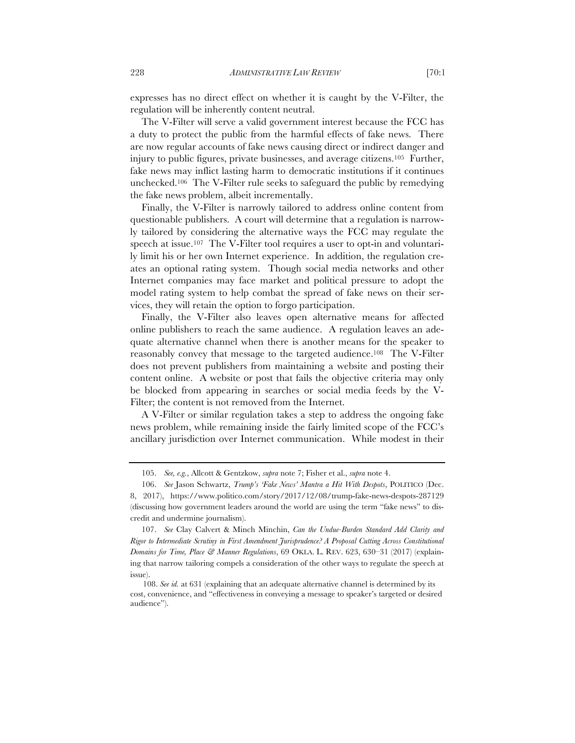expresses has no direct effect on whether it is caught by the V-Filter, the regulation will be inherently content neutral.

The V-Filter will serve a valid government interest because the FCC has a duty to protect the public from the harmful effects of fake news. There are now regular accounts of fake news causing direct or indirect danger and injury to public figures, private businesses, and average citizens.105 Further, fake news may inflict lasting harm to democratic institutions if it continues unchecked.106 The V-Filter rule seeks to safeguard the public by remedying the fake news problem, albeit incrementally.

Finally, the V-Filter is narrowly tailored to address online content from questionable publishers. A court will determine that a regulation is narrowly tailored by considering the alternative ways the FCC may regulate the speech at issue.<sup>107</sup> The V-Filter tool requires a user to opt-in and voluntarily limit his or her own Internet experience. In addition, the regulation creates an optional rating system. Though social media networks and other Internet companies may face market and political pressure to adopt the model rating system to help combat the spread of fake news on their services, they will retain the option to forgo participation.

Finally, the V-Filter also leaves open alternative means for affected online publishers to reach the same audience. A regulation leaves an adequate alternative channel when there is another means for the speaker to reasonably convey that message to the targeted audience.108 The V-Filter does not prevent publishers from maintaining a website and posting their content online. A website or post that fails the objective criteria may only be blocked from appearing in searches or social media feeds by the V-Filter; the content is not removed from the Internet.

A V-Filter or similar regulation takes a step to address the ongoing fake news problem, while remaining inside the fairly limited scope of the FCC's ancillary jurisdiction over Internet communication. While modest in their

<sup>105.</sup> *See, e.g.*, Allcott & Gentzkow, *supra* note 7; Fisher et al., *supra* note 4.

<sup>106.</sup> *See* Jason Schwartz, *Trump's 'Fake News' Mantra a Hit With Despots*, POLITICO (Dec. 8, 2017), https://www.politico.com/story/2017/12/08/trump-fake-news-despots-287129 (discussing how government leaders around the world are using the term "fake news" to discredit and undermine journalism).

<sup>107.</sup> *See* Clay Calvert & Minch Minchin, *Can the Undue-Burden Standard Add Clarity and Rigor to Intermediate Scrutiny in First Amendment Jurisprudence? A Proposal Cutting Across Constitutional Domains for Time, Place & Manner Regulations*, 69 OKLA. L. REV. 623, 630–31 (2017) (explaining that narrow tailoring compels a consideration of the other ways to regulate the speech at issue).

<sup>108.</sup> *See id.* at 631 (explaining that an adequate alternative channel is determined by its cost, convenience, and "effectiveness in conveying a message to speaker's targeted or desired audience").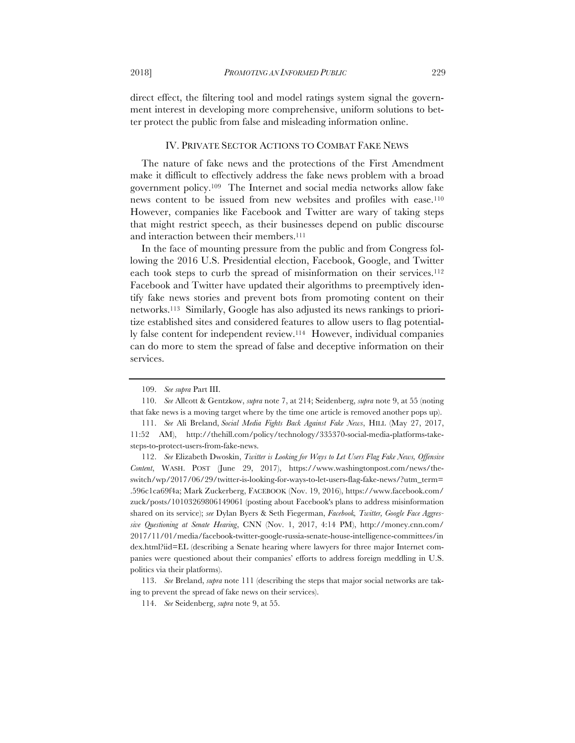direct effect, the filtering tool and model ratings system signal the government interest in developing more comprehensive, uniform solutions to better protect the public from false and misleading information online.

#### IV. PRIVATE SECTOR ACTIONS TO COMBAT FAKE NEWS

The nature of fake news and the protections of the First Amendment make it difficult to effectively address the fake news problem with a broad government policy.109 The Internet and social media networks allow fake news content to be issued from new websites and profiles with ease.110 However, companies like Facebook and Twitter are wary of taking steps that might restrict speech, as their businesses depend on public discourse and interaction between their members.111

In the face of mounting pressure from the public and from Congress following the 2016 U.S. Presidential election, Facebook, Google, and Twitter each took steps to curb the spread of misinformation on their services.<sup>112</sup> Facebook and Twitter have updated their algorithms to preemptively identify fake news stories and prevent bots from promoting content on their networks.113 Similarly, Google has also adjusted its news rankings to prioritize established sites and considered features to allow users to flag potentially false content for independent review.114 However, individual companies can do more to stem the spread of false and deceptive information on their services.

<sup>109.</sup> *See supra* Part III.

<sup>110.</sup> *See* Allcott & Gentzkow, *supra* note 7, at 214; Seidenberg, *supra* note 9, at 55 (noting that fake news is a moving target where by the time one article is removed another pops up).

<sup>111.</sup> *See* Ali Breland, *Social Media Fights Back Against Fake News*, HILL (May 27, 2017, 11:52 AM), http://thehill.com/policy/technology/335370-social-media-platforms-takesteps-to-protect-users-from-fake-news.

<sup>112.</sup> *See* Elizabeth Dwoskin, *Twitter is Looking for Ways to Let Users Flag Fake News, Offensive Content*, WASH. POST (June 29, 2017), https://www.washingtonpost.com/news/theswitch/wp/2017/06/29/twitter-is-looking-for-ways-to-let-users-flag-fake-news/?utm\_term= .596c1ca69f4a; Mark Zuckerberg, FACEBOOK (Nov. 19, 2016), https://www.facebook.com/ zuck/posts/10103269806149061 (posting about Facebook's plans to address misinformation shared on its service); *see* Dylan Byers & Seth Fiegerman, *Facebook, Twitter, Google Face Aggressive Questioning at Senate Hearing*, CNN (Nov. 1, 2017, 4:14 PM), http://money.cnn.com/ 2017/11/01/media/facebook-twitter-google-russia-senate-house-intelligence-committees/in dex.html?iid=EL (describing a Senate hearing where lawyers for three major Internet companies were questioned about their companies' efforts to address foreign meddling in U.S. politics via their platforms).

<sup>113.</sup> *See* Breland, *supra* note 111 (describing the steps that major social networks are taking to prevent the spread of fake news on their services).

<sup>114.</sup> *See* Seidenberg, *supra* note 9, at 55.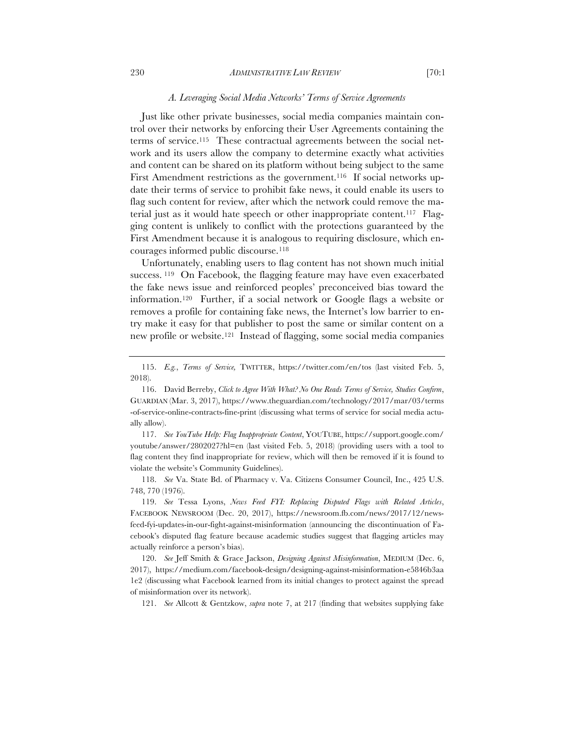# *A. Leveraging Social Media Networks' Terms of Service Agreements*

Just like other private businesses, social media companies maintain control over their networks by enforcing their User Agreements containing the terms of service.115 These contractual agreements between the social network and its users allow the company to determine exactly what activities and content can be shared on its platform without being subject to the same First Amendment restrictions as the government.<sup>116</sup> If social networks update their terms of service to prohibit fake news, it could enable its users to flag such content for review, after which the network could remove the material just as it would hate speech or other inappropriate content.117 Flagging content is unlikely to conflict with the protections guaranteed by the First Amendment because it is analogous to requiring disclosure, which encourages informed public discourse.118

Unfortunately, enabling users to flag content has not shown much initial success.<sup>119</sup> On Facebook, the flagging feature may have even exacerbated the fake news issue and reinforced peoples' preconceived bias toward the information.120 Further, if a social network or Google flags a website or removes a profile for containing fake news, the Internet's low barrier to entry make it easy for that publisher to post the same or similar content on a new profile or website.121 Instead of flagging, some social media companies

117. *See YouTube Help: Flag Inappropriate Content*, YOUTUBE, https://support.google.com/ youtube/answer/2802027?hl=en (last visited Feb. 5, 2018) (providing users with a tool to flag content they find inappropriate for review, which will then be removed if it is found to violate the website's Community Guidelines).

118. *See* Va. State Bd. of Pharmacy v. Va. Citizens Consumer Council, Inc., 425 U.S. 748, 770 (1976).

119. *See* Tessa Lyons, *News Feed FYI: Replacing Disputed Flags with Related Articles*, FACEBOOK NEWSROOM (Dec. 20, 2017), https://newsroom.fb.com/news/2017/12/newsfeed-fyi-updates-in-our-fight-against-misinformation (announcing the discontinuation of Facebook's disputed flag feature because academic studies suggest that flagging articles may actually reinforce a person's bias).

120. *See* Jeff Smith & Grace Jackson, *Designing Against Misinformation*, MEDIUM (Dec. 6, 2017), https://medium.com/facebook-design/designing-against-misinformation-e5846b3aa 1e2 (discussing what Facebook learned from its initial changes to protect against the spread of misinformation over its network).

121. *See* Allcott & Gentzkow, *supra* note 7, at 217 (finding that websites supplying fake

<sup>115.</sup> *E.g.*, *Terms of Service,* TWITTER, https://twitter.com/en/tos (last visited Feb. 5, 2018).

<sup>116.</sup> David Berreby, *Click to Agree With What? No One Reads Terms of Service, Studies Confirm*, GUARDIAN (Mar. 3, 2017), https://www.theguardian.com/technology/2017/mar/03/terms -of-service-online-contracts-fine-print (discussing what terms of service for social media actually allow).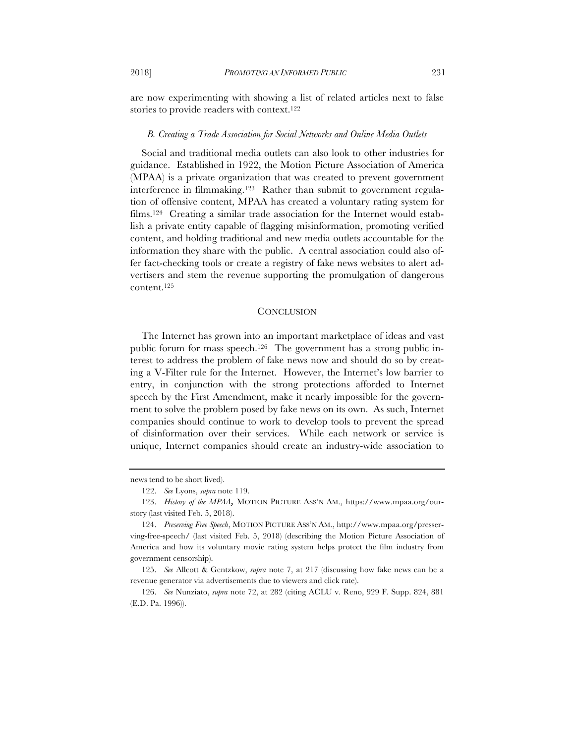are now experimenting with showing a list of related articles next to false stories to provide readers with context.122

#### *B. Creating a Trade Association for Social Networks and Online Media Outlets*

Social and traditional media outlets can also look to other industries for guidance. Established in 1922, the Motion Picture Association of America (MPAA) is a private organization that was created to prevent government interference in filmmaking.123 Rather than submit to government regulation of offensive content, MPAA has created a voluntary rating system for films.124 Creating a similar trade association for the Internet would establish a private entity capable of flagging misinformation, promoting verified content, and holding traditional and new media outlets accountable for the information they share with the public. A central association could also offer fact-checking tools or create a registry of fake news websites to alert advertisers and stem the revenue supporting the promulgation of dangerous content.125

#### **CONCLUSION**

The Internet has grown into an important marketplace of ideas and vast public forum for mass speech.126 The government has a strong public interest to address the problem of fake news now and should do so by creating a V-Filter rule for the Internet. However, the Internet's low barrier to entry, in conjunction with the strong protections afforded to Internet speech by the First Amendment, make it nearly impossible for the government to solve the problem posed by fake news on its own. As such, Internet companies should continue to work to develop tools to prevent the spread of disinformation over their services. While each network or service is unique, Internet companies should create an industry-wide association to

news tend to be short lived).

<sup>122.</sup> *See* Lyons, *supra* note 119.

<sup>123.</sup> *History of the MPAA,* MOTION PICTURE ASS'N AM., https://www.mpaa.org/ourstory (last visited Feb. 5, 2018).

<sup>124.</sup> *Preserving Free Speech*, MOTION PICTURE ASS'N AM., http://www.mpaa.org/presserving-free-speech/ (last visited Feb. 5, 2018) (describing the Motion Picture Association of America and how its voluntary movie rating system helps protect the film industry from government censorship).

<sup>125.</sup> *See* Allcott & Gentzkow, *supra* note 7, at 217 (discussing how fake news can be a revenue generator via advertisements due to viewers and click rate).

<sup>126.</sup> *See* Nunziato, *supra* note 72, at 282 (citing ACLU v. Reno, 929 F. Supp. 824, 881 (E.D. Pa. 1996)).